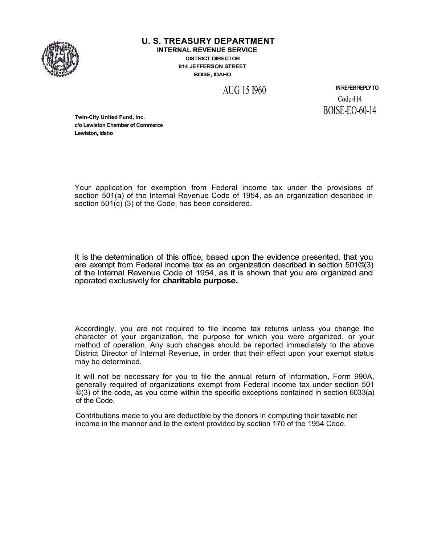

**U. S. TREASURY DEPARTMENT**

**INTERNAL REVENUE SERVICE DISTRICT DIRECTOR** 814 JEFFERSON STREET **BOISE, IDAHO** 

AUG 15 1960

IN REFER REPLY TO Code 414 BOISE-EO-60-14

**Twin-City United Fund, Inc. c/o Lewiston Chamber of Commerce Lewiston, Idaho**

Your application for exemption from Federal income tax under the provisions of section 501(a) of the Internal Revenue Code of 1954, as an organization described in section 501(c) (3) of the Code, has been considered.

It is the determination of this office, based upon the evidence presented, that you are exempt from Federal income tax as an organization described in section 501©(3) of the Internal Revenue Code of 1954, as it is shown that you are organized and operated exclusively for charitable purpose.

Accordingly, you are not required to file income tax returns unless you change the character of your organization, the purpose for which you were organized, or your method of operation. Any such changes should be reported immediately to the above District Director of Internal Revenue, in order that their effect upon your exempt status may be determined.

It will not be necessary for you to file the annual return of information, Form 990A, generally required of organizations exempt from Federal income tax under section 501 ©(3) of the code, as you come within the specific exceptions contained in section 6033(a) of the Code.

Contributions made to you are deductible by the donors in computing their taxable net income in the manner and to the extent provided by section 170 of the 1954 Code.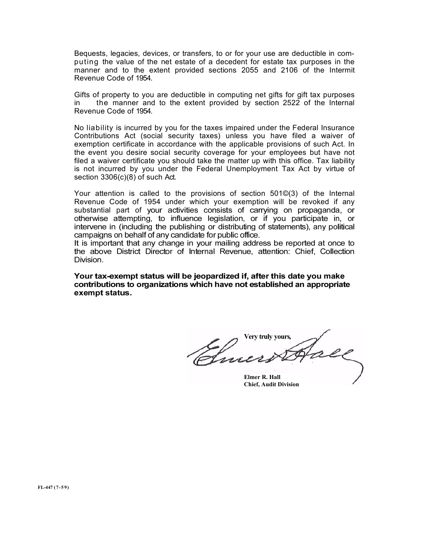Bequests, legacies, devices, or transfers, to or for your use are deductible in computing the value of the net estate of a decedent for estate tax purposes in the manner and to the extent provided sections 2055 and 2106 of the Intermit Revenue Code of 1954.

Gifts of property to you are deductible in computing net gifts for gift tax purposes in the manner and to the extent provided by section 2522 of the Internal Revenue Code of 1954.

No liability is incurred by you for the taxes impaired under the Federal Insurance Contributions Act (social security taxes) unless you have filed a waiver of exemption certificate in accordance with the applicable provisions of such Act. In the event you desire social security coverage for your employees but have not filed a waiver certificate you should take the matter up with this office. Tax liability is not incurred by you under the Federal Unemployment Tax Act by virtue of section 3306(c)(8) of such Act.

Your attention is called to the provisions of section 501©(3) of the Internal Revenue Code of 1954 under which your exemption will be revoked if any substantial part of your activities consists of carrying on propaganda, or otherwise attempting, to influence legislation, or if you participate in, or intervene in (including the publishing or distributing of statements), any political campaigns on behalf of any candidate for public office.

It is important that any change in your mailing address be reported at once to the above District Director of Internal Revenue, attention: Chief, Collection Division.

Your tax-exempt status will be jeopardized if, after this date you make contributions to organizations which have not established an appropriate exempt status.

Very truly yours*,*

Elmer R. Hall Chief, Audit Division